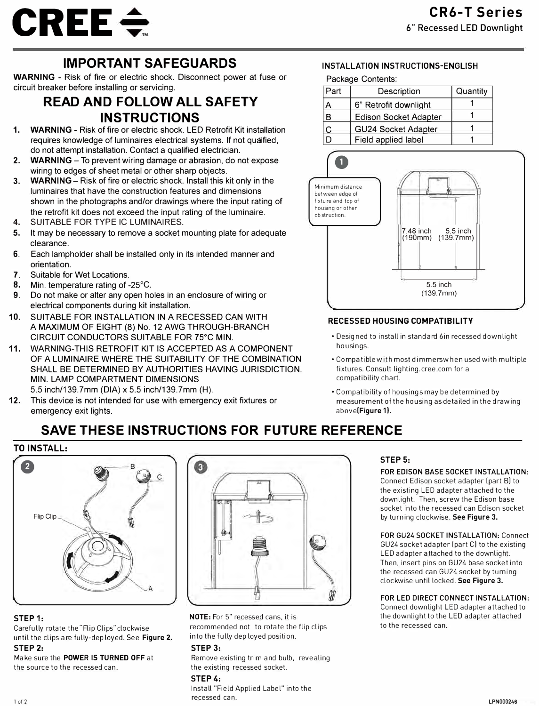

# **IMPORTANT SAFEGUARDS**

**WARNING** - Risk of fire or electric shock. Disconnect power at fuse or circuit breaker before installing or servicing.

# **READ AND FOLLOW ALL SAFETY INSTRUCTIONS**

- **1. WARNING**  Risk of fire or electric shock. LED Retrofit Kit installation requires knowledge of luminaires electrical systems. If not qualified, do not attempt installation. Contact a qualified electrician.
- **2. WARNING**  To prevent wiring damage or abrasion, do not expose wiring to edges of sheet metal or other sharp objects.
- **3. WARNING-** Risk of fire or electric shock. Install this kit only in the luminaires that have the construction features and dimensions shown in the photographs and/or drawings where the input rating of the retrofit kit does not exceed the input rating of the luminaire.
- 4. SUITABLE FOR TYPE IC LUMINAIRES.
- 5. It may be necessary to remove a socket mounting plate for adequate clearance.
- 6. Each lampholder shall be installed only in its intended manner and orientation.
- **7.** Suitable for Wet Locations.
- 8. Min. temperature rating of -25°C.
- **9.** Do not make or alter any open holes in an enclosure of wiring or electrical components during kit installation.
- **10.** SUITABLE FOR INSTALLATION IN A RECESSED CAN WITH A MAXIMUM OF EIGHT (8) No. 12 AWG THROUGH-BRANCH CIRCUIT CONDUCTORS SUITABLE FOR 75°C MIN.
- **11.** WARNING-THIS RETROFIT KIT IS ACCEPTED AS A COMPONENT OF A LUMINAIRE WHERE THE SUITABILITY OF THE COMBINATION SHALL BE DETERMINED BY AUTHORITIES HAVING JURISDICTION. MIN. LAMP COMPARTMENT DIMENSIONS

5.5 inch/139.?mm (DIA) x 5.5 inch/139.?mm (H).

**12.** This device is not intended for use with emergency exit fixtures or emergency exit lights.

### **INSTALLATION INSTRUCTIONS-ENGLISH**

Package Contents: Part Description Quantity **A** 6<sup>"</sup> Retrofit downlight 1 **B** Edison Socket Adapter **C GU24 Socket Adapter** 1<br> **D Field applied label** 1 **Field applied label** 



### **RECESSED HOUSING COMPATIBILITY**

- Desig ned to install in standard 6in recessed downlight housings.
- Compatible with most dimmers when used with multiple fixtures. Consult lighting.cree.com for a compatibility chart.
- Compatibility of housings may be determined b y measurement of the housing as detailed in the drawing **above(Figure 1).**

# **SAVE THESE INSTRUCTIONS FOR FUTURE REFERENCE**





### **STEP 1:**

Carefully rotate the "Flip Clips" clockwise until the clips a re fully-dep loyed. See **Figure 2.** 

### **STEP 2:**  Make sure the **POWER IS TURNED OFF** at

the source to the recessed can.

# **NOTE:** For 5" recessed cans, it is

recommended not to rotate the flip clips into the fully dep loyed position.

### **STEP 3:**

Remove existing trim and bulb, revealing the existing recessed socket.

### **STEP 4:**

Install "Field Applied Label" into the recessed can.

### **STEP 5:**

**FOR EDISON BASE SOCKET INSTALLATION:**  Connect Edison socket adapter [part Bl to the existing LED adapter attached to the downlight. Then, screw the Edison base socket into the recessed can Edison socket by turning clockwise. See Figure 3.

#### **FOR GU24 SOCKET INSTALLATION:** Connect GU24 socket adapter [part C) to the existing LED adapter attached to the downlight. Then, insert pins on GU24 base socket into the recessed can GU24 socket by turning clockwise until locked. **See Figure 3.**

### **FOR LED DIRECT CONNECT INSTALLATION:**

Connect downlight LED adapter attached to the downlight to the LED adapter attached to the recessed can.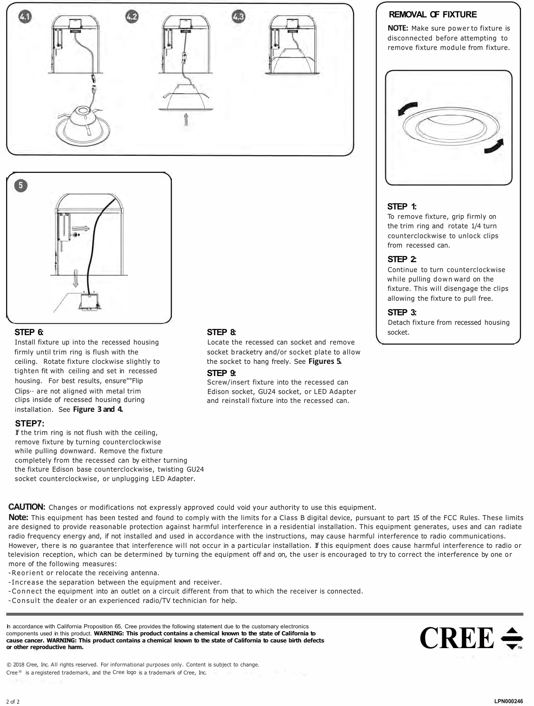



### **STEP 6:**

Install fixture up into the recessed housing firmly until trim ring is flush with the ceiling. Rotate fixture clockwise slightly to tighten fit with ceiling and set in recessed housing. For best results, ensure""Flip Clips·· are not aligned with metal trim clips inside of recessed housing during installation. See **Figure 3 and 4.** 

### **STEP7:**

If the trim ring is not flush with the ceiling, remove fixture by turning counterclockwise while pulling downward. Remove the fixture completely from the recessed can by either turning the fixture Edison base counterclockwise, twisting GU24 socket counterclockwise, or unplugging LED Adapter.

### **STEP 8:**

Locate the recessed can socket and remove socket bracketry and/or socket plate to allow the socket to hang freely. See **Figures 5.** 

### **STEP 9:**

Screw/insert fixture into the recessed can Edison socket, GU24 socket, or LED Adapter and reinstall fixture into the recessed can.

### **REMOVAL OF FIXTURE**

**NOTE:** Make sure power to fixture is disconnected before attempting to remove fixture module from fixture.



### **STEP 1:**

To remove fixture, grip firmly on the trim ring and rotate 1/4 turn counterclockwise to unlock clips from recessed can.

### **STEP 2:**

Continue to turn counterclockwise while pulling down ward on the fixture. This will disengage the clips allowing the fixture to pull free.

### **STEP 3:**

Detach fixture from recessed housing socket.

**CAUTION:** Changes or modifications not expressly approved could void your authority to use this equipment.

**Note:** This equipment has been tested and found to comply with the limits for a Class B digital device, pursuant to part 15 of the FCC Rules. These limits are designed to provide reasonable protection against harmful interference in a residential installation. This equipment generates, uses and can radiate radio frequency energy and, if not installed and used in accordance with the instructions, may cause harmful interference to radio communications. However, there is no guarantee that interference will not occur in a particular installation. If this equipment does cause harmful interference to radio or television reception, which can be determined by turning the equipment off and on, the user is encouraged to try to correct the interference by one or more of the following measures:

-Reorient or relocate the receiving antenna.

- -Increase the separation between the equipment and receiver.
- -Connect the equipment into an outlet on a circuit different from that to which the receiver is connected.
- -Consult the dealer or an experienced radio/TV technician for help.

In accordance with California Proposition 65, Cree provides the following statement due to the customary electronics components used in this product. **WARNING: This product contains a chemical known to the state of California to cause cancer. WARNING: This product contains a chemical known to the state of California to cause birth defects or other reproductive harm.** 



© 2018 Cree, Inc. All rights reserved. For informational purposes only. Content is subject to change. Cree<sup>®</sup> is a registered trademark, and the Cree logo is a trademark of Cree, Inc.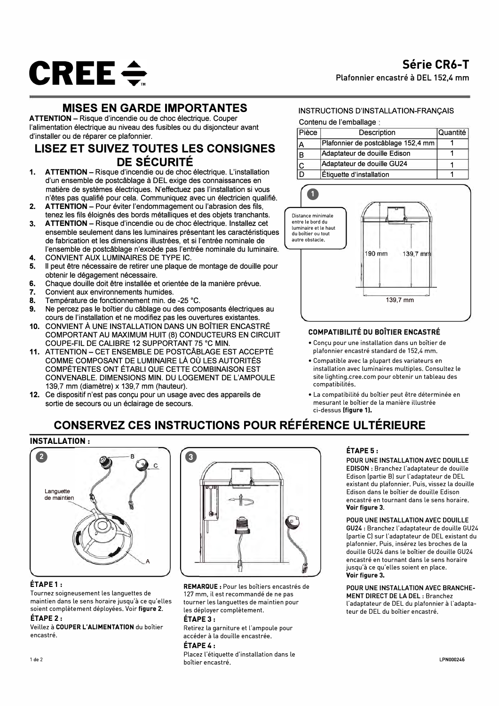

### **MISES EN GARDE IMPORTANTES**

**ATTENTION** - Risque d'incendie ou de choc électrique. Couper l'alimentation électrique au niveau des fusibles ou du disjoncteur avant d'installer ou de réparer ce plafonnier.

### **LISEZ ET SUIVEZ TOUTES LES CONSIGNES DE SECURITE**

- **1. ATTENTION-**Risque d'incendie au de choc electrique. L'installation d'un ensemble de postcablage a DEL exige des connaissances en matiere de systemes electriques. N'effectuez pas !'installation si vous n'etes pas qualifie pour cela. Communiquez avec un electricien qualifie.
- **2. ATTENTION** Pour éviter l'endommagement ou l'abrasion des fils, tenez les fils éloignés des bords métalliques et des objets tranchants.
- **3. ATTENTION** Risque d'incendie ou de choc électrique. Installez cet ensemble seulement dans les luminaires présentant les caractéristiques de fabrication et les dimensions illustrées, et si l'entrée nominale de l'ensemble de postcâblage n'excède pas l'entrée nominale du luminaire.
- **4.** CONVIENT AUX LUMINAIRES DE TYPE IC.<br>5. Il peut être pécessaire de retirer une plaque d
- Il peut être nécessaire de retirer une plaque de montage de douille pour obtenir le dégagement nécessaire.
- **6.** Chaque douille doit être installée et orientée de la manière prévue.<br>7. Convient aux environnements humides.
- **7.** Convient aux environnements humides.<br>**8.** Température de fonctionnement min. de
- **8.** Température de fonctionnement min. de -25 °C.<br>**9.** Ne percez pas le boîtier du câblage ou des com
- Ne percez pas le boîtier du câblage ou des composants électriques au cours de !'installation et ne modifiez pas les ouvertures existantes.
- 10. CONVIENT À UNE INSTALLATION DANS UN BOÎTIER ENCASTRÉ COMPORTANT AU MAXIMUM HUIT (8) CONDUCTEURS EN CIRCUIT COUPE-FIL DE CALIBRE 12 SUPPORTANT 75 °C MIN.
- 11. ATTENTION CET ENSEMBLE DE POSTCÂBLAGE EST ACCEPTÉ COMME COMPOSANT DE LUMINAIRE LÀ OÙ LES AUTORITÉS COMPETENTES ONT ETABLI QUE CETTE COMBINAISON EST CONVENABLE. DIMENSIONS MIN. DU LOGEMENT DE L'AMPOULE 139,7 mm (diametre) x 139,7 mm (hauteur).
- **12.** Ce dispositif n'est pas conçu pour un usage avec des appareils de sortie de secours ou un éclairage de secours.

### INSTRUCTIONS D'INSTALLATION-FRANCAIS

Contenu de l'emballage

| Pièce | Description                        | l Quantité I |
|-------|------------------------------------|--------------|
| A     | Plafonnier de postcâblage 152,4 mm |              |
| в     | Adaptateur de douille Edison       |              |
|       | Adaptateur de douille GU24         |              |
|       | Étiquette d'installation           |              |



### COMPATIBILITE DU BDiTIER ENCASTRE

- Conçu pour une installation dans un boîtier de plafonnier encastré standard de 152,4 mm.
- Compatible avec la plupart des variateurs en installation avec luminaires multiples. Consultez le site lighting.cree.com pour obtenir un tableau des compatibilités
- La compatibilité du boîtier peut être déterminée en mesurant le boîtier de la manière illustrée ci-dessus (figure 1).

## **CONSERVEZ CES INSTRUCTIONS POUR REFERENCE UL TERIEURE**

### **INSTALLATION** :



### ETAPE 1:

Tournez soigneusement les languettes de maintien dans le sens horaire jusqu'à ce qu'elles soient completement deployees. Voir **figure 2.** 

### ETAPE 2:

Veillez à COUPER L'ALIMENTATION du boîtier encastre.



**REMARQUE:** Pour les boîtiers encastrés de 127 mm, il est recommandé de ne pas tourner les languettes de maintien pour les deployer completement.

### ETAPE 3:

Retirez la garniture et l'ampoule pour accéder à la douille encastrée.

### ETAPE 4:

Placez l'étiquette d'installation dans le boîtier encastré.

### ETAPE 5:

**POUR UNE INSTALLATION AVEC DOUILLE EDISON** : Branchez l'adaptateur de douille Edison [partie Bl sur l'adaptateur de DEL existant du plafonnier. Puis, vissez la douille Edison dans le boîtier de douille Edison encastré en tournant dans le sens horaire. **Voir figure 3.** 

### **POUR UNE INSTALLATION AVEC DOUILLE**

GU24: Branchez l'adaptateur de douille GU24 [partie Cl sur l'adaptateur de DEL existant du plafonnier. Puis, insérez les broches de la douille GU24 dans le boîtier de douille GU24 encastré en tournant dans le sens horaire jusqu'à ce qu'elles soient en place. **Voir figure 3.** 

#### POUR UNE INSTALLATION AVEC BRANCHE-MENT DIRECT DE LA DEL: Branchez l'adaptateur de DEL du plafonnier à l'adaptateur de DEL du boîtier encastré.